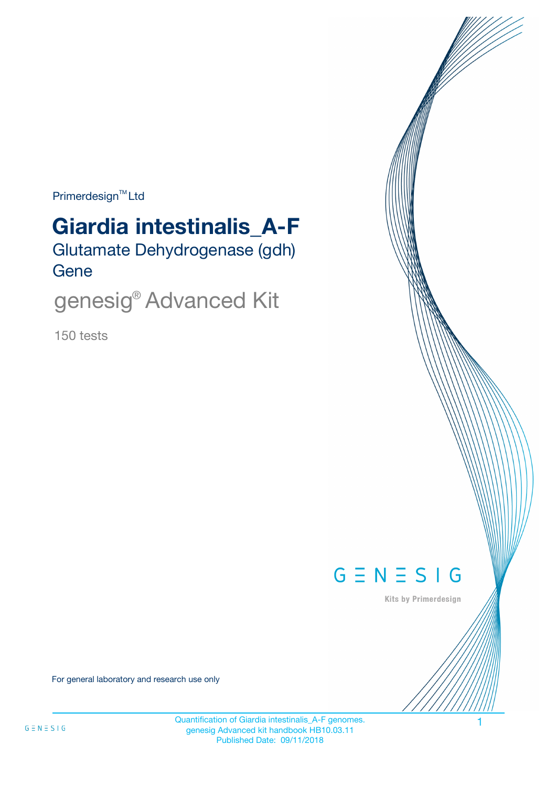$Primerdesign^{\text{TM}}$ Ltd

# Glutamate Dehydrogenase (gdh) **Gene Giardia intestinalis\_A-F**

genesig® Advanced Kit

150 tests



Kits by Primerdesign

For general laboratory and research use only

Quantification of Giardia intestinalis\_A-F genomes. 1 genesig Advanced kit handbook HB10.03.11 Published Date: 09/11/2018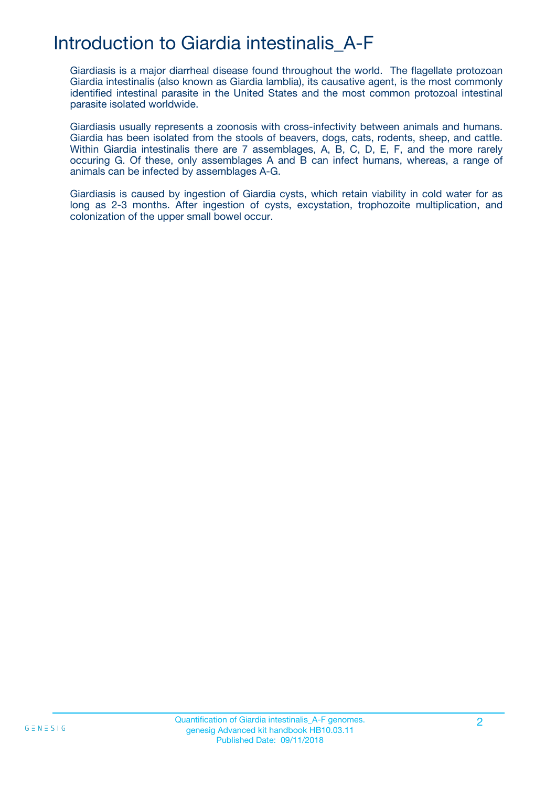## Introduction to Giardia intestinalis\_A-F

Giardiasis is a major diarrheal disease found throughout the world. The flagellate protozoan Giardia intestinalis (also known as Giardia lamblia), its causative agent, is the most commonly identified intestinal parasite in the United States and the most common protozoal intestinal parasite isolated worldwide.

Giardiasis usually represents a zoonosis with cross-infectivity between animals and humans. Giardia has been isolated from the stools of beavers, dogs, cats, rodents, sheep, and cattle. Within Giardia intestinalis there are 7 assemblages, A, B, C, D, E, F, and the more rarely occuring G. Of these, only assemblages A and B can infect humans, whereas, a range of animals can be infected by assemblages A-G.

Giardiasis is caused by ingestion of Giardia cysts, which retain viability in cold water for as long as 2-3 months. After ingestion of cysts, excystation, trophozoite multiplication, and colonization of the upper small bowel occur.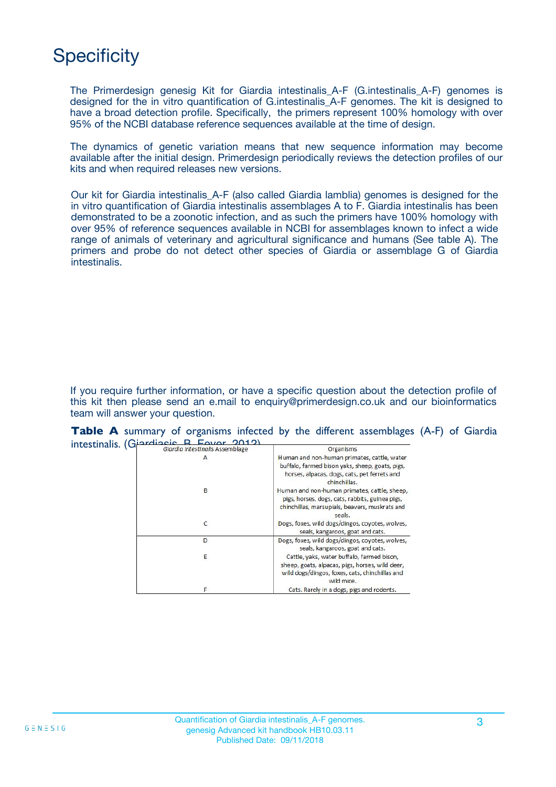## **Specificity**

The Primerdesign genesig Kit for Giardia intestinalis\_A-F (G.intestinalis\_A-F) genomes is designed for the in vitro quantification of G.intestinalis\_A-F genomes. The kit is designed to have a broad detection profile. Specifically, the primers represent 100% homology with over 95% of the NCBI database reference sequences available at the time of design.

The dynamics of genetic variation means that new sequence information may become available after the initial design. Primerdesign periodically reviews the detection profiles of our kits and when required releases new versions.

Our kit for Giardia intestinalis\_A-F (also called Giardia lamblia) genomes is designed for the in vitro quantification of Giardia intestinalis assemblages A to F. Giardia intestinalis has been demonstrated to be a zoonotic infection, and as such the primers have 100% homology with over 95% of reference sequences available in NCBI for assemblages known to infect a wide range of animals of veterinary and agricultural significance and humans (See table A). The primers and probe do not detect other species of Giardia or assemblage G of Giardia intestinalis.

If you require further information, or have a specific question about the detection profile of this kit then please send an e.mail to enquiry@primerdesign.co.uk and our bioinformatics team will answer your question.

|  |  |                                                                                   |  |           | Table A summary of organisms infected by the different assemblages (A-F) of Giardia |  |  |
|--|--|-----------------------------------------------------------------------------------|--|-----------|-------------------------------------------------------------------------------------|--|--|
|  |  | intestinalis. $(G^{ \text{cardi} \text{ecis}}_i, R, E_{\text{Covor}}_i, Q(1, 2))$ |  |           |                                                                                     |  |  |
|  |  |                                                                                   |  | Organicme |                                                                                     |  |  |

| Giardia intestinalis Assemblage | Organisms                                                                                                                                                      |
|---------------------------------|----------------------------------------------------------------------------------------------------------------------------------------------------------------|
| A                               | Human and non-human primates, cattle, water<br>buffalo, farmed bison yaks, sheep, goats, pigs,<br>horses, alpacas, dogs, cats, pet ferrets and<br>chinchillas. |
| В                               | Human and non-human primates, cattle, sheep,<br>pigs, horses, dogs, cats, rabbits, guinea pigs,<br>chinchillas, marsupials, beavers, muskrats and<br>seals.    |
| C                               | Dogs, foxes, wild dogs/dingos, coyotes, wolves,<br>seals, kangaroos, goat and cats.                                                                            |
| D                               | Dogs, foxes, wild dogs/dingos, coyotes, wolves,<br>seals, kangaroos, goat and cats.                                                                            |
| Ε                               | Cattle, yaks, water buffalo, farmed bison,<br>sheep, goats, alpacas, pigs, horses, wild deer,<br>wild dogs/dingos, foxes, cats, chinchillas and<br>wild mice.  |
| F                               | Cats. Rarely in a dogs, pigs and rodents.                                                                                                                      |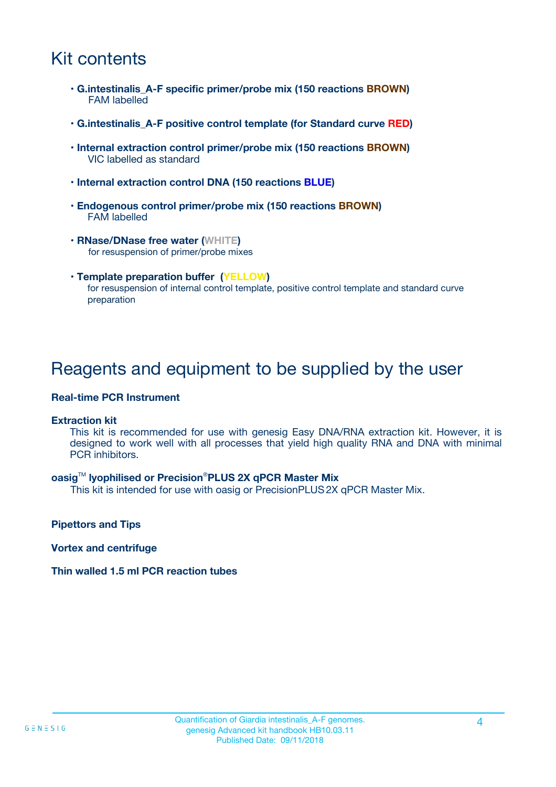## Kit contents

- **G.intestinalis\_A-F specific primer/probe mix (150 reactions BROWN)** FAM labelled
- **G.intestinalis\_A-F positive control template (for Standard curve RED)**
- **Internal extraction control primer/probe mix (150 reactions BROWN)** VIC labelled as standard
- **Internal extraction control DNA (150 reactions BLUE)**
- **Endogenous control primer/probe mix (150 reactions BROWN)** FAM labelled
- **RNase/DNase free water (WHITE)** for resuspension of primer/probe mixes
- **Template preparation buffer (YELLOW)** for resuspension of internal control template, positive control template and standard curve preparation

### Reagents and equipment to be supplied by the user

#### **Real-time PCR Instrument**

#### **Extraction kit**

This kit is recommended for use with genesig Easy DNA/RNA extraction kit. However, it is designed to work well with all processes that yield high quality RNA and DNA with minimal PCR inhibitors.

#### **oasig**TM **lyophilised or Precision**®**PLUS 2X qPCR Master Mix**

This kit is intended for use with oasig or PrecisionPLUS2X qPCR Master Mix.

**Pipettors and Tips**

**Vortex and centrifuge**

#### **Thin walled 1.5 ml PCR reaction tubes**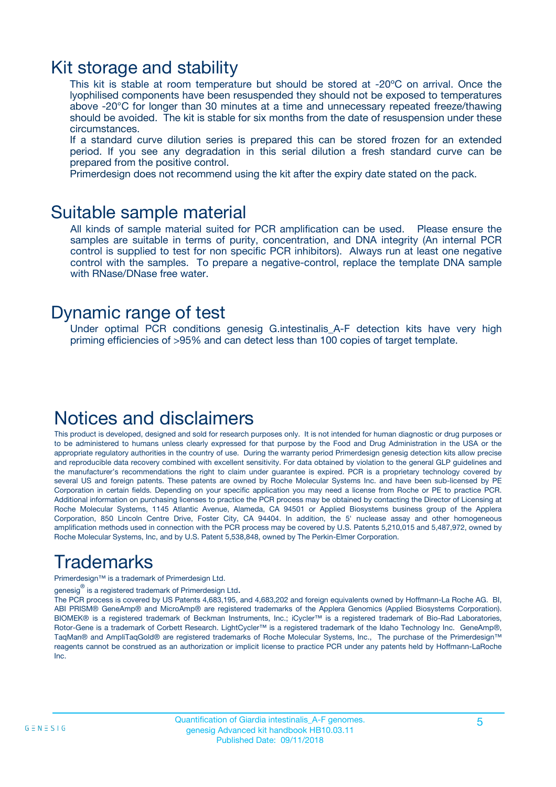### Kit storage and stability

This kit is stable at room temperature but should be stored at -20ºC on arrival. Once the lyophilised components have been resuspended they should not be exposed to temperatures above -20°C for longer than 30 minutes at a time and unnecessary repeated freeze/thawing should be avoided. The kit is stable for six months from the date of resuspension under these circumstances.

If a standard curve dilution series is prepared this can be stored frozen for an extended period. If you see any degradation in this serial dilution a fresh standard curve can be prepared from the positive control.

Primerdesign does not recommend using the kit after the expiry date stated on the pack.

### Suitable sample material

All kinds of sample material suited for PCR amplification can be used. Please ensure the samples are suitable in terms of purity, concentration, and DNA integrity (An internal PCR control is supplied to test for non specific PCR inhibitors). Always run at least one negative control with the samples. To prepare a negative-control, replace the template DNA sample with RNase/DNase free water.

### Dynamic range of test

Under optimal PCR conditions genesig G.intestinalis\_A-F detection kits have very high priming efficiencies of >95% and can detect less than 100 copies of target template.

### Notices and disclaimers

This product is developed, designed and sold for research purposes only. It is not intended for human diagnostic or drug purposes or to be administered to humans unless clearly expressed for that purpose by the Food and Drug Administration in the USA or the appropriate regulatory authorities in the country of use. During the warranty period Primerdesign genesig detection kits allow precise and reproducible data recovery combined with excellent sensitivity. For data obtained by violation to the general GLP guidelines and the manufacturer's recommendations the right to claim under guarantee is expired. PCR is a proprietary technology covered by several US and foreign patents. These patents are owned by Roche Molecular Systems Inc. and have been sub-licensed by PE Corporation in certain fields. Depending on your specific application you may need a license from Roche or PE to practice PCR. Additional information on purchasing licenses to practice the PCR process may be obtained by contacting the Director of Licensing at Roche Molecular Systems, 1145 Atlantic Avenue, Alameda, CA 94501 or Applied Biosystems business group of the Applera Corporation, 850 Lincoln Centre Drive, Foster City, CA 94404. In addition, the 5' nuclease assay and other homogeneous amplification methods used in connection with the PCR process may be covered by U.S. Patents 5,210,015 and 5,487,972, owned by Roche Molecular Systems, Inc, and by U.S. Patent 5,538,848, owned by The Perkin-Elmer Corporation.

## Trademarks

Primerdesign™ is a trademark of Primerdesign Ltd.

genesig $^\circledR$  is a registered trademark of Primerdesign Ltd.

The PCR process is covered by US Patents 4,683,195, and 4,683,202 and foreign equivalents owned by Hoffmann-La Roche AG. BI, ABI PRISM® GeneAmp® and MicroAmp® are registered trademarks of the Applera Genomics (Applied Biosystems Corporation). BIOMEK® is a registered trademark of Beckman Instruments, Inc.; iCycler™ is a registered trademark of Bio-Rad Laboratories, Rotor-Gene is a trademark of Corbett Research. LightCycler™ is a registered trademark of the Idaho Technology Inc. GeneAmp®, TaqMan® and AmpliTaqGold® are registered trademarks of Roche Molecular Systems, Inc., The purchase of the Primerdesign™ reagents cannot be construed as an authorization or implicit license to practice PCR under any patents held by Hoffmann-LaRoche Inc.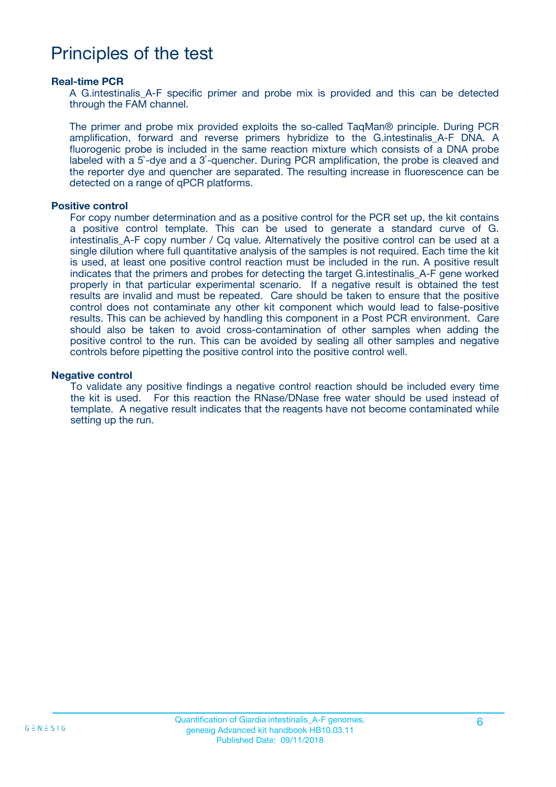### Principles of the test

#### **Real-time PCR**

A G.intestinalis A-F specific primer and probe mix is provided and this can be detected through the FAM channel.

The primer and probe mix provided exploits the so-called TaqMan® principle. During PCR amplification, forward and reverse primers hybridize to the G.intestinalis\_A-F DNA. A fluorogenic probe is included in the same reaction mixture which consists of a DNA probe labeled with a 5`-dye and a 3`-quencher. During PCR amplification, the probe is cleaved and the reporter dye and quencher are separated. The resulting increase in fluorescence can be detected on a range of qPCR platforms.

#### **Positive control**

For copy number determination and as a positive control for the PCR set up, the kit contains a positive control template. This can be used to generate a standard curve of G. intestinalis A-F copy number / Cq value. Alternatively the positive control can be used at a single dilution where full quantitative analysis of the samples is not required. Each time the kit is used, at least one positive control reaction must be included in the run. A positive result indicates that the primers and probes for detecting the target G. intestinalis A-F gene worked properly in that particular experimental scenario. If a negative result is obtained the test results are invalid and must be repeated. Care should be taken to ensure that the positive control does not contaminate any other kit component which would lead to false-positive results. This can be achieved by handling this component in a Post PCR environment. Care should also be taken to avoid cross-contamination of other samples when adding the positive control to the run. This can be avoided by sealing all other samples and negative controls before pipetting the positive control into the positive control well.

#### **Negative control**

To validate any positive findings a negative control reaction should be included every time the kit is used. For this reaction the RNase/DNase free water should be used instead of template. A negative result indicates that the reagents have not become contaminated while setting up the run.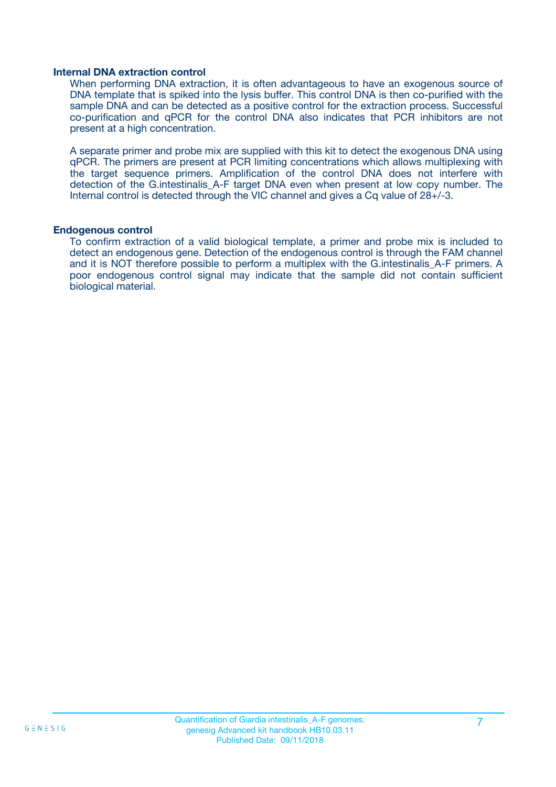#### **Internal DNA extraction control**

When performing DNA extraction, it is often advantageous to have an exogenous source of DNA template that is spiked into the lysis buffer. This control DNA is then co-purified with the sample DNA and can be detected as a positive control for the extraction process. Successful co-purification and qPCR for the control DNA also indicates that PCR inhibitors are not present at a high concentration.

A separate primer and probe mix are supplied with this kit to detect the exogenous DNA using qPCR. The primers are present at PCR limiting concentrations which allows multiplexing with the target sequence primers. Amplification of the control DNA does not interfere with detection of the G.intestinalis A-F target DNA even when present at low copy number. The Internal control is detected through the VIC channel and gives a Cq value of 28+/-3.

#### **Endogenous control**

To confirm extraction of a valid biological template, a primer and probe mix is included to detect an endogenous gene. Detection of the endogenous control is through the FAM channel and it is NOT therefore possible to perform a multiplex with the G.intestinalis A-F primers. A poor endogenous control signal may indicate that the sample did not contain sufficient biological material.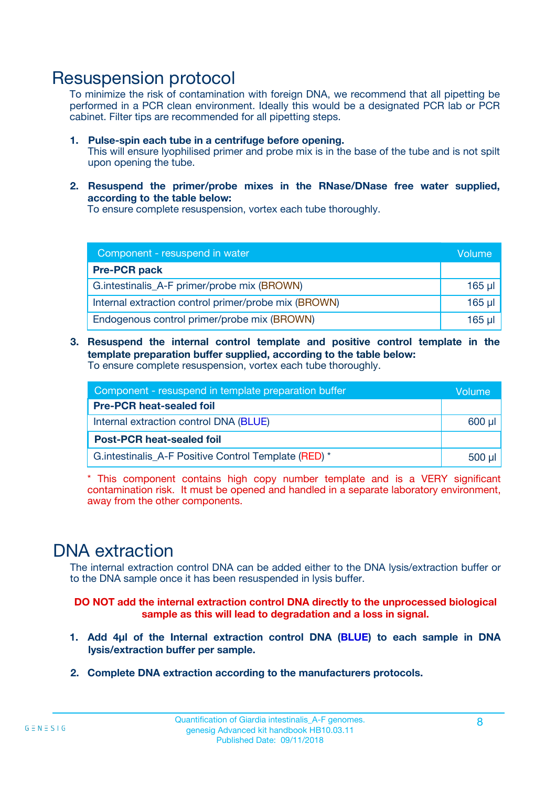### Resuspension protocol

To minimize the risk of contamination with foreign DNA, we recommend that all pipetting be performed in a PCR clean environment. Ideally this would be a designated PCR lab or PCR cabinet. Filter tips are recommended for all pipetting steps.

- **1. Pulse-spin each tube in a centrifuge before opening.** This will ensure lyophilised primer and probe mix is in the base of the tube and is not spilt upon opening the tube.
- **2. Resuspend the primer/probe mixes in the RNase/DNase free water supplied, according to the table below:**

To ensure complete resuspension, vortex each tube thoroughly.

| Component - resuspend in water                       |          |  |  |
|------------------------------------------------------|----------|--|--|
| <b>Pre-PCR pack</b>                                  |          |  |  |
| G.intestinalis_A-F primer/probe mix (BROWN)          |          |  |  |
| Internal extraction control primer/probe mix (BROWN) | $165$ µl |  |  |
| Endogenous control primer/probe mix (BROWN)          |          |  |  |

**3. Resuspend the internal control template and positive control template in the template preparation buffer supplied, according to the table below:** To ensure complete resuspension, vortex each tube thoroughly.

| Component - resuspend in template preparation buffer  |  |  |
|-------------------------------------------------------|--|--|
| <b>Pre-PCR heat-sealed foil</b>                       |  |  |
| Internal extraction control DNA (BLUE)                |  |  |
| <b>Post-PCR heat-sealed foil</b>                      |  |  |
| G. intestinalis A-F Positive Control Template (RED) * |  |  |

\* This component contains high copy number template and is a VERY significant contamination risk. It must be opened and handled in a separate laboratory environment, away from the other components.

### DNA extraction

The internal extraction control DNA can be added either to the DNA lysis/extraction buffer or to the DNA sample once it has been resuspended in lysis buffer.

**DO NOT add the internal extraction control DNA directly to the unprocessed biological sample as this will lead to degradation and a loss in signal.**

- **1. Add 4µl of the Internal extraction control DNA (BLUE) to each sample in DNA lysis/extraction buffer per sample.**
- **2. Complete DNA extraction according to the manufacturers protocols.**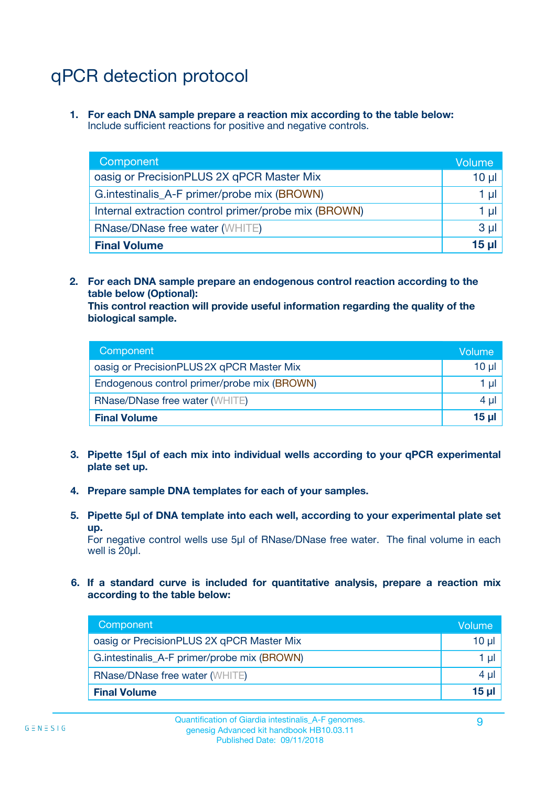# qPCR detection protocol

**1. For each DNA sample prepare a reaction mix according to the table below:** Include sufficient reactions for positive and negative controls.

| Component                                            | Volume   |  |
|------------------------------------------------------|----------|--|
| oasig or PrecisionPLUS 2X qPCR Master Mix            | $10 \mu$ |  |
| G.intestinalis_A-F primer/probe mix (BROWN)          | 1 µl     |  |
| Internal extraction control primer/probe mix (BROWN) |          |  |
| <b>RNase/DNase free water (WHITE)</b>                |          |  |
| <b>Final Volume</b>                                  |          |  |

**2. For each DNA sample prepare an endogenous control reaction according to the table below (Optional):**

**This control reaction will provide useful information regarding the quality of the biological sample.**

| Component                                   | Volume   |  |
|---------------------------------------------|----------|--|
| oasig or PrecisionPLUS 2X qPCR Master Mix   | $10 \mu$ |  |
| Endogenous control primer/probe mix (BROWN) |          |  |
| <b>RNase/DNase free water (WHITE)</b>       |          |  |
| <b>Final Volume</b>                         | 15 µl    |  |

- **3. Pipette 15µl of each mix into individual wells according to your qPCR experimental plate set up.**
- **4. Prepare sample DNA templates for each of your samples.**
- **5. Pipette 5µl of DNA template into each well, according to your experimental plate set up.**

For negative control wells use 5µl of RNase/DNase free water. The final volume in each well is 20ul.

**6. If a standard curve is included for quantitative analysis, prepare a reaction mix according to the table below:**

| Component                                   | Volume |  |
|---------------------------------------------|--------|--|
| oasig or PrecisionPLUS 2X qPCR Master Mix   | 10 µl  |  |
| G.intestinalis_A-F primer/probe mix (BROWN) |        |  |
| <b>RNase/DNase free water (WHITE)</b>       |        |  |
| <b>Final Volume</b>                         |        |  |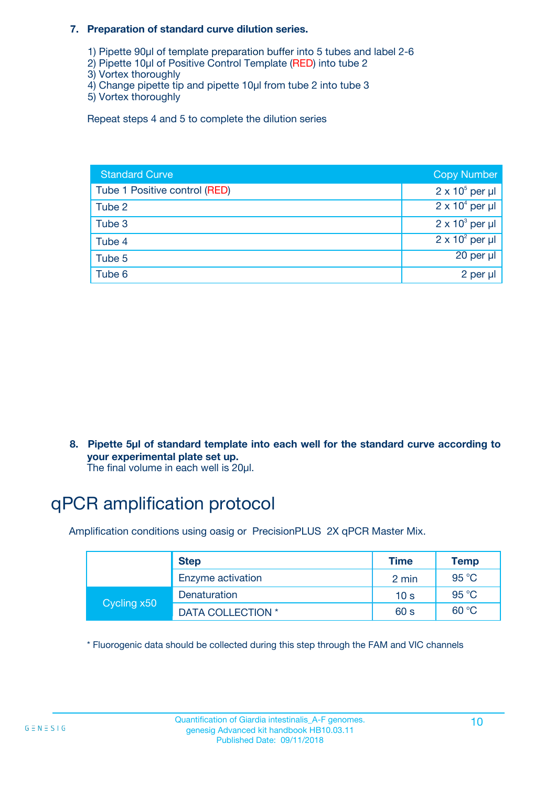#### **7. Preparation of standard curve dilution series.**

- 1) Pipette 90µl of template preparation buffer into 5 tubes and label 2-6
- 2) Pipette 10µl of Positive Control Template (RED) into tube 2
- 3) Vortex thoroughly
- 4) Change pipette tip and pipette 10µl from tube 2 into tube 3
- 5) Vortex thoroughly

Repeat steps 4 and 5 to complete the dilution series

| <b>Standard Curve</b>         | <b>Copy Number</b>     |
|-------------------------------|------------------------|
| Tube 1 Positive control (RED) | $2 \times 10^5$ per µl |
| Tube 2                        | $2 \times 10^4$ per µl |
| Tube 3                        | $2 \times 10^3$ per µl |
| Tube 4                        | $2 \times 10^2$ per µl |
| Tube 5                        | $20$ per $\mu$         |
| Tube 6                        | 2 per µl               |

**8. Pipette 5µl of standard template into each well for the standard curve according to your experimental plate set up.**

#### The final volume in each well is 20µl.

## qPCR amplification protocol

Amplification conditions using oasig or PrecisionPLUS 2X qPCR Master Mix.

|             | <b>Step</b>       | <b>Time</b>     | Temp    |
|-------------|-------------------|-----------------|---------|
|             | Enzyme activation | 2 min           | 95 °C   |
|             | Denaturation      | 10 <sub>s</sub> | 95 $°C$ |
| Cycling x50 | DATA COLLECTION * | 60 s            | 60 °C   |

\* Fluorogenic data should be collected during this step through the FAM and VIC channels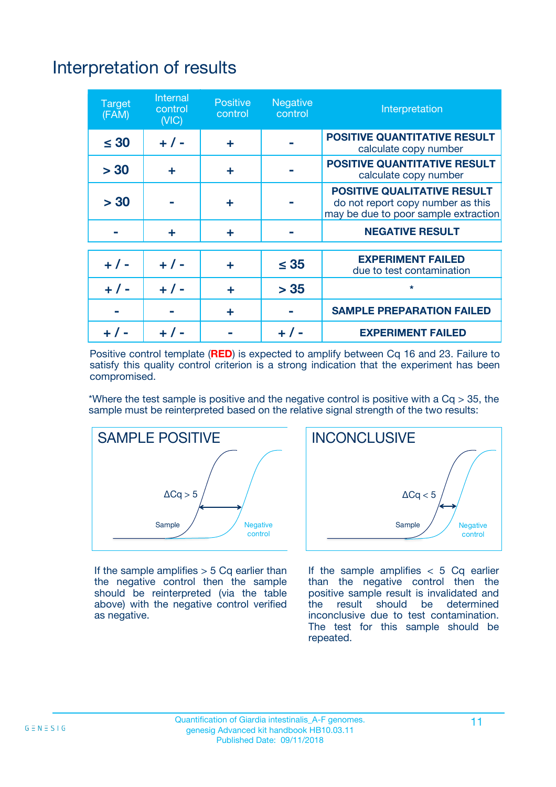# Interpretation of results

| <b>Target</b><br>(FAM) | <b>Internal</b><br>control<br>(NIC) | <b>Positive</b><br>control | <b>Negative</b><br>control | Interpretation                                                                                                  |
|------------------------|-------------------------------------|----------------------------|----------------------------|-----------------------------------------------------------------------------------------------------------------|
| $\leq 30$              | $+ 1 -$                             | ÷                          |                            | <b>POSITIVE QUANTITATIVE RESULT</b><br>calculate copy number                                                    |
| > 30                   | ٠                                   | ÷                          |                            | <b>POSITIVE QUANTITATIVE RESULT</b><br>calculate copy number                                                    |
| > 30                   |                                     | ÷                          |                            | <b>POSITIVE QUALITATIVE RESULT</b><br>do not report copy number as this<br>may be due to poor sample extraction |
|                        | ÷                                   | ÷                          |                            | <b>NEGATIVE RESULT</b>                                                                                          |
| $+ 1 -$                | $+ 1 -$                             | ÷                          | $\leq$ 35                  | <b>EXPERIMENT FAILED</b><br>due to test contamination                                                           |
| $+$ / -                | $+ 1 -$                             | ÷                          | > 35                       | $\star$                                                                                                         |
|                        |                                     | ÷                          |                            | <b>SAMPLE PREPARATION FAILED</b>                                                                                |
|                        |                                     |                            | $+$ /                      | <b>EXPERIMENT FAILED</b>                                                                                        |

Positive control template (**RED**) is expected to amplify between Cq 16 and 23. Failure to satisfy this quality control criterion is a strong indication that the experiment has been compromised.

\*Where the test sample is positive and the negative control is positive with a  $Ca > 35$ , the sample must be reinterpreted based on the relative signal strength of the two results:



If the sample amplifies  $> 5$  Cq earlier than the negative control then the sample should be reinterpreted (via the table above) with the negative control verified as negative.



If the sample amplifies  $< 5$  Cq earlier than the negative control then the positive sample result is invalidated and<br>the result should be determined  $the$  result should be inconclusive due to test contamination. The test for this sample should be repeated.